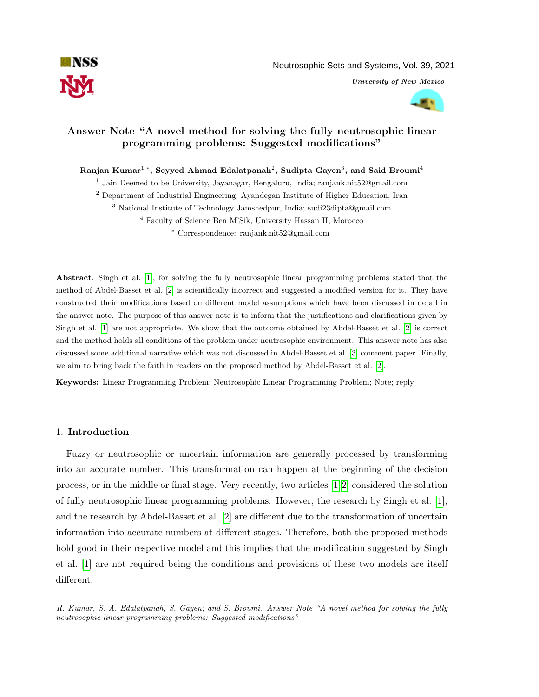

University of New Mexico



# Answer Note "A novel method for solving the fully neutrosophic linear programming problems: Suggested modifications"

Ranjan Kumar $^{1,\ast},$  Seyyed Ahmad Edalatpanah $^2,$  Sudipta Gayen $^3,$  and Said Broumi $^4$ 

<sup>1</sup> Jain Deemed to be University, Jayanagar, Bengaluru, India; ranjank.nit52@gmail.com

<sup>2</sup> Department of Industrial Engineering, Ayandegan Institute of Higher Education, Iran

<sup>3</sup> National Institute of Technology Jamshedpur, India; sudi23dipta@gmail.com

<sup>4</sup> Faculty of Science Ben M'Sik, University Hassan II, Morocco

<sup>∗</sup> Correspondence: ranjank.nit52@gmail.com

Abstract. Singh et al. [\[1\]](#page-3-0), for solving the fully neutrosophic linear programming problems stated that the method of Abdel-Basset et al. [\[2\]](#page-3-1) is scientifically incorrect and suggested a modified version for it. They have constructed their modifications based on different model assumptions which have been discussed in detail in the answer note. The purpose of this answer note is to inform that the justifications and clarifications given by Singh et al. [\[1\]](#page-3-0) are not appropriate. We show that the outcome obtained by Abdel-Basset et al. [\[2\]](#page-3-1) is correct and the method holds all conditions of the problem under neutrosophic environment. This answer note has also discussed some additional narrative which was not discussed in Abdel-Basset et al. [\[3\]](#page-3-2) comment paper. Finally, we aim to bring back the faith in readers on the proposed method by Abdel-Basset et al. [\[2\]](#page-3-1).

—————————————————————————————————————————–

Keywords: Linear Programming Problem; Neutrosophic Linear Programming Problem; Note; reply

# 1. Introduction

Fuzzy or neutrosophic or uncertain information are generally processed by transforming into an accurate number. This transformation can happen at the beginning of the decision process, or in the middle or final stage. Very recently, two articles [\[1,](#page-3-0)[2\]](#page-3-1) considered the solution of fully neutrosophic linear programming problems. However, the research by Singh et al. [\[1\]](#page-3-0), and the research by Abdel-Basset et al. [\[2\]](#page-3-1) are different due to the transformation of uncertain information into accurate numbers at different stages. Therefore, both the proposed methods hold good in their respective model and this implies that the modification suggested by Singh et al. [\[1\]](#page-3-0) are not required being the conditions and provisions of these two models are itself different.

R. Kumar, S. A. Edalatpanah, S. Gayen; and S. Broumi. Answer Note "A novel method for solving the fully neutrosophic linear programming problems: Suggested modifications"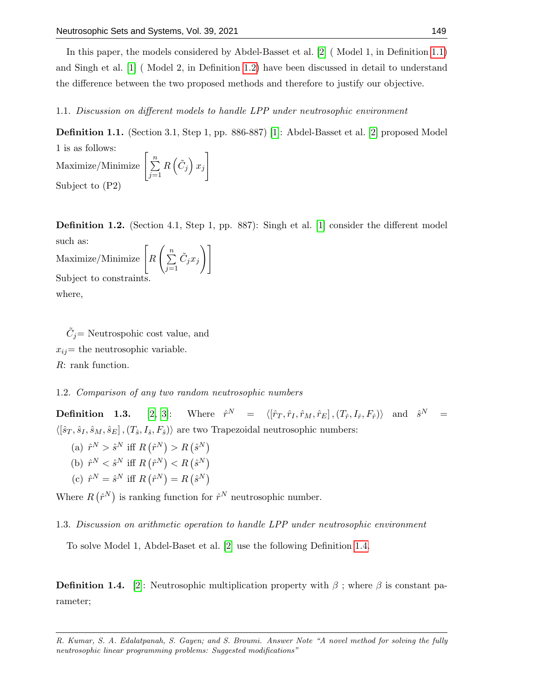In this paper, the models considered by Abdel-Basset et al. [\[2\]](#page-3-1) ( Model 1, in Definition [1.1\)](#page-1-0) and Singh et al. [\[1\]](#page-3-0) ( Model 2, in Definition [1.2\)](#page-1-1) have been discussed in detail to understand the difference between the two proposed methods and therefore to justify our objective.

1.1. Discussion on different models to handle LPP under neutrosophic environment

<span id="page-1-0"></span>Definition 1.1. (Section 3.1, Step 1, pp. 886-887) [\[1\]](#page-3-0): Abdel-Basset et al. [\[2\]](#page-3-1) proposed Model 1 is as follows: Maximize/Minimize  $\left\lceil \frac{n}{\sum_{i=1}^{n}}\right\rceil$ 1

 $j=1$  $R\left(\tilde{C}_j\right)x_j$ Subject to (P2)

<span id="page-1-1"></span>**Definition 1.2.** (Section 4.1, Step 1, pp. 887): Singh et al. [\[1\]](#page-3-0) consider the different model such as:  $\setminus$  ]

 $\operatorname{Maximize}/\operatorname{Minimize} \Big[}_R$  $\left(\frac{n}{\sum_{i=1}^{n}}\right)$  $j=1$  $\tilde{C}_j x_j$ Subject to constraints. where,

 $\tilde{C}_j$  = Neutrospohic cost value, and  $x_{ij}$ = the neutrosophic variable. R: rank function.

### 1.2. Comparison of any two random neutrosophic numbers

Definition 1.3.  $[2, 3]$  $[2, 3]$ :  $\begin{array}{rcl} N & = & \left\langle \left[ \hat{r}_T , \hat{r}_I, \hat{r}_M , \hat{r}_E \right],\left( T_{\hat{r}}, I_{\hat{r}}, F_{\hat{r}} \right) \right\rangle \quad \mathrm{and} \quad \hat{s}^N & = 0 \end{array}$  $\langle [\hat{s}_T, \hat{s}_I, \hat{s}_M, \hat{s}_E], (T_{\hat{s}}, I_{\hat{s}}, F_{\hat{s}}) \rangle$  are two Trapezoidal neutrosophic numbers:

(a)  $\hat{r}^N > \hat{s}^N$  iff  $R(\hat{r}^N) > R(\hat{s}^N)$ (b)  $\hat{r}^N < \hat{s}^N$  iff  $R(\hat{r}^N) < R(\hat{s}^N)$ (c)  $\hat{r}^N = \hat{s}^N$  iff  $R(\hat{r}^N) = R(\hat{s}^N)$ 

Where  $R(\hat{r}^N)$  is ranking function for  $\hat{r}^N$  neutrosophic number.

1.3. Discussion on arithmetic operation to handle LPP under neutrosophic environment

To solve Model 1, Abdel-Baset et al. [\[2\]](#page-3-1) use the following Definition [1.4.](#page-1-2)

<span id="page-1-2"></span>**Definition 1.4.** [\[2\]](#page-3-1): Neutrosophic multiplication property with  $\beta$ ; where  $\beta$  is constant parameter;

R. Kumar, S. A. Edalatpanah, S. Gayen; and S. Broumi. Answer Note "A novel method for solving the fully neutrosophic linear programming problems: Suggested modifications"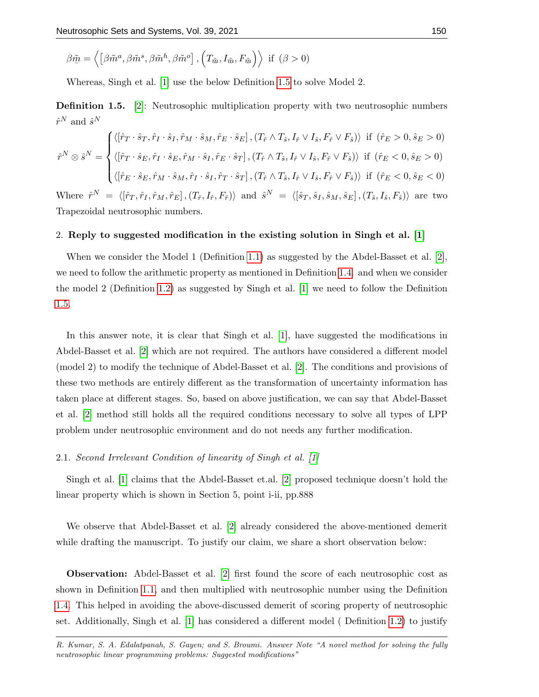$$
\beta \tilde{\underline{m}} = \left\langle \left[ \beta \tilde{m}^a, \beta \tilde{m}^s, \beta \tilde{m}^h, \beta \tilde{m}^o \right], \left( T_{\tilde{\underline{m}}}, I_{\tilde{\underline{m}}}, F_{\tilde{\underline{m}}} \right) \right\rangle \text{ if } (\beta > 0)
$$

Whereas, Singh et al. [\[1\]](#page-3-0) use the below Definition [1.5](#page-2-0) to solve Model 2.

<span id="page-2-0"></span>**Definition 1.5.** [\[2\]](#page-3-1): Neutrosophic multiplication property with two neutrosophic numbers  $\hat{r}^N$  and  $\hat{s}^N$ 

$$
\hat{r}^N \otimes \hat{s}^N = \begin{cases}\n\langle [\hat{r}_T \cdot \hat{s}_T, \hat{r}_I \cdot \hat{s}_I, \hat{r}_M \cdot \hat{s}_M, \hat{r}_E \cdot \hat{s}_E], (T_{\hat{r}} \wedge T_{\hat{s}}, I_{\hat{r}} \vee I_{\hat{s}}, F_{\hat{r}} \vee F_{\hat{s}}) \rangle & \text{if } (\hat{r}_E > 0, \hat{s}_E > 0) \\
\langle [\hat{r}_T \cdot \hat{s}_E, \hat{r}_I \cdot \hat{s}_E, \hat{r}_M \cdot \hat{s}_I, \hat{r}_E \cdot \hat{s}_T], (T_{\hat{r}} \wedge T_{\hat{s}}, I_{\hat{r}} \vee I_{\hat{s}}, F_{\hat{r}} \vee F_{\hat{s}}) \rangle & \text{if } (\hat{r}_E < 0, \hat{s}_E > 0) \\
\langle [\hat{r}_E \cdot \hat{s}_E, \hat{r}_M \cdot \hat{s}_M, \hat{r}_I \cdot \hat{s}_I, \hat{r}_T \cdot \hat{s}_T], (T_{\hat{r}} \wedge T_{\hat{s}}, I_{\hat{r}} \vee I_{\hat{s}}, F_{\hat{r}} \vee F_{\hat{s}}) \rangle & \text{if } (\hat{r}_E < 0, \hat{s}_E < 0) \\
\langle [\hat{r}_E \cdot \hat{s}_E, \hat{r}_M \cdot \hat{s}_M, \hat{r}_I \cdot \hat{s}_I, \hat{r}_T \cdot \hat{s}_T], (T_{\hat{r}} \wedge T_{\hat{s}}, I_{\hat{r}} \vee I_{\hat{s}}, F_{\hat{r}} \vee F_{\hat{s}}) \rangle & \text{if } (\hat{r}_E < 0, \hat{s}_E < 0) \\
\end{cases}
$$

Where  $\hat{r}$  $N \;=\; \langle [\hat{r}_T , \hat{r}_I , \hat{r}_M , \hat{r}_E]\,,(T_{\hat{r}}, I_{\hat{r}}, F_{\hat{r}}) \rangle \; \text{ and } \; \hat{s}^N \;=\; \langle [\hat{s}_T , \hat{s}_I , \hat{s}_M , \hat{s}_E]\,,(T_{\hat{s}}, I_{\hat{s}}, F_{\hat{s}}) \rangle \; \text{ are two}$ Trapezoidal neutrosophic numbers.

#### 2. Reply to suggested modification in the existing solution in Singh et al. [\[1\]](#page-3-0)

When we consider the Model 1 (Definition [1.1\)](#page-1-0) as suggested by the Abdel-Basset et al. [\[2\]](#page-3-1), we need to follow the arithmetic property as mentioned in Definition [1.4.](#page-1-2) and when we consider the model 2 (Definition [1.2\)](#page-1-1) as suggested by Singh et al. [\[1\]](#page-3-0) we need to follow the Definition [1.5.](#page-2-0)

In this answer note, it is clear that Singh et al. [\[1\]](#page-3-0), have suggested the modifications in Abdel-Basset et al. [\[2\]](#page-3-1) which are not required. The authors have considered a different model (model 2) to modify the technique of Abdel-Basset et al. [\[2\]](#page-3-1). The conditions and provisions of these two methods are entirely different as the transformation of uncertainty information has taken place at different stages. So, based on above justification, we can say that Abdel-Basset et al. [\[2\]](#page-3-1) method still holds all the required conditions necessary to solve all types of LPP problem under neutrosophic environment and do not needs any further modification.

#### 2.1. Second Irrelevant Condition of linearity of Singh et al. [\[1\]](#page-3-0)

Singh et al. [\[1\]](#page-3-0) claims that the Abdel-Basset et.al. [\[2\]](#page-3-1) proposed technique doesn't hold the linear property which is shown in Section 5, point i-ii, pp.888

We observe that Abdel-Basset et al. [\[2\]](#page-3-1) already considered the above-mentioned demerit while drafting the manuscript. To justify our claim, we share a short observation below:

Observation: Abdel-Basset et al. [\[2\]](#page-3-1) first found the score of each neutrosophic cost as shown in Definition [1.1,](#page-1-0) and then multiplied with neutrosophic number using the Definition [1.4.](#page-1-2) This helped in avoiding the above-discussed demerit of scoring property of neutrosophic set. Additionally, Singh et al. [\[1\]](#page-3-0) has considered a different model ( Definition [1.2\)](#page-1-1) to justify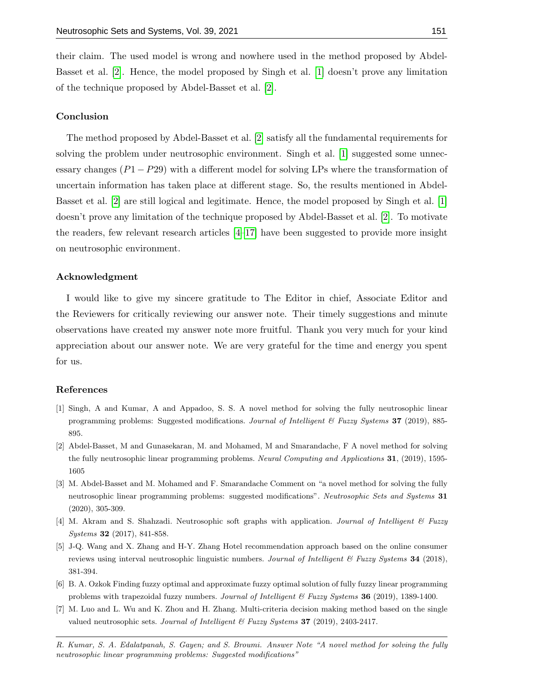their claim. The used model is wrong and nowhere used in the method proposed by Abdel-Basset et al. [\[2\]](#page-3-1). Hence, the model proposed by Singh et al. [\[1\]](#page-3-0) doesn't prove any limitation of the technique proposed by Abdel-Basset et al. [\[2\]](#page-3-1).

# Conclusion

The method proposed by Abdel-Basset et al. [\[2\]](#page-3-1) satisfy all the fundamental requirements for solving the problem under neutrosophic environment. Singh et al. [\[1\]](#page-3-0) suggested some unnecessary changes  $(P1 - P29)$  with a different model for solving LPs where the transformation of uncertain information has taken place at different stage. So, the results mentioned in Abdel-Basset et al. [\[2\]](#page-3-1) are still logical and legitimate. Hence, the model proposed by Singh et al. [\[1\]](#page-3-0) doesn't prove any limitation of the technique proposed by Abdel-Basset et al. [\[2\]](#page-3-1). To motivate the readers, few relevant research articles [\[4–](#page-3-3)[17\]](#page-4-0) have been suggested to provide more insight on neutrosophic environment.

#### Acknowledgment

I would like to give my sincere gratitude to The Editor in chief, Associate Editor and the Reviewers for critically reviewing our answer note. Their timely suggestions and minute observations have created my answer note more fruitful. Thank you very much for your kind appreciation about our answer note. We are very grateful for the time and energy you spent for us.

#### References

- <span id="page-3-0"></span>[1] Singh, A and Kumar, A and Appadoo, S. S. A novel method for solving the fully neutrosophic linear programming problems: Suggested modifications. Journal of Intelligent & Fuzzy Systems 37 (2019), 885-895.
- <span id="page-3-1"></span>[2] Abdel-Basset, M and Gunasekaran, M. and Mohamed, M and Smarandache, F A novel method for solving the fully neutrosophic linear programming problems. Neural Computing and Applications 31, (2019), 1595- 1605
- <span id="page-3-2"></span>[3] M. Abdel-Basset and M. Mohamed and F. Smarandache Comment on "a novel method for solving the fully neutrosophic linear programming problems: suggested modifications". Neutrosophic Sets and Systems 31 (2020), 305-309.
- <span id="page-3-3"></span>[4] M. Akram and S. Shahzadi. Neutrosophic soft graphs with application. Journal of Intelligent & Fuzzy Systems 32 (2017), 841-858.
- [5] J-Q. Wang and X. Zhang and H-Y. Zhang Hotel recommendation approach based on the online consumer reviews using interval neutrosophic linguistic numbers. Journal of Intelligent  $\mathcal C$  Fuzzy Systems 34 (2018), 381-394.
- [6] B. A. Ozkok Finding fuzzy optimal and approximate fuzzy optimal solution of fully fuzzy linear programming problems with trapezoidal fuzzy numbers. Journal of Intelligent & Fuzzy Systems 36 (2019), 1389-1400.
- [7] M. Luo and L. Wu and K. Zhou and H. Zhang. Multi-criteria decision making method based on the single valued neutrosophic sets. Journal of Intelligent  $\mathscr B$  Fuzzy Systems 37 (2019), 2403-2417.
- R. Kumar, S. A. Edalatpanah, S. Gayen; and S. Broumi. Answer Note "A novel method for solving the fully neutrosophic linear programming problems: Suggested modifications"